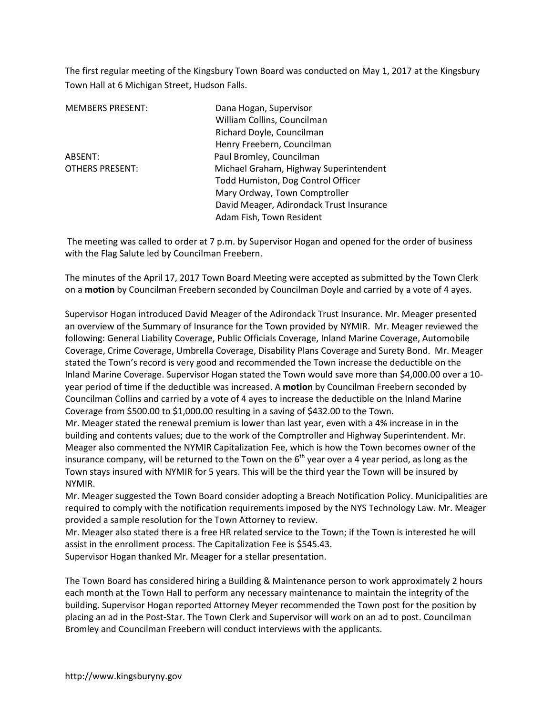The first regular meeting of the Kingsbury Town Board was conducted on May 1, 2017 at the Kingsbury Town Hall at 6 Michigan Street, Hudson Falls.

| <b>MEMBERS PRESENT:</b> | Dana Hogan, Supervisor                   |
|-------------------------|------------------------------------------|
|                         | William Collins, Councilman              |
|                         | Richard Doyle, Councilman                |
|                         | Henry Freebern, Councilman               |
| ABSENT:                 | Paul Bromley, Councilman                 |
| <b>OTHERS PRESENT:</b>  | Michael Graham, Highway Superintendent   |
|                         | Todd Humiston, Dog Control Officer       |
|                         | Mary Ordway, Town Comptroller            |
|                         | David Meager, Adirondack Trust Insurance |
|                         | Adam Fish, Town Resident                 |

 The meeting was called to order at 7 p.m. by Supervisor Hogan and opened for the order of business with the Flag Salute led by Councilman Freebern.

The minutes of the April 17, 2017 Town Board Meeting were accepted as submitted by the Town Clerk on a **motion** by Councilman Freebern seconded by Councilman Doyle and carried by a vote of 4 ayes.

Supervisor Hogan introduced David Meager of the Adirondack Trust Insurance. Mr. Meager presented an overview of the Summary of Insurance for the Town provided by NYMIR. Mr. Meager reviewed the following: General Liability Coverage, Public Officials Coverage, Inland Marine Coverage, Automobile Coverage, Crime Coverage, Umbrella Coverage, Disability Plans Coverage and Surety Bond. Mr. Meager stated the Town's record is very good and recommended the Town increase the deductible on the Inland Marine Coverage. Supervisor Hogan stated the Town would save more than \$4,000.00 over a 10 year period of time if the deductible was increased. A **motion** by Councilman Freebern seconded by Councilman Collins and carried by a vote of 4 ayes to increase the deductible on the Inland Marine Coverage from \$500.00 to \$1,000.00 resulting in a saving of \$432.00 to the Town.

Mr. Meager stated the renewal premium is lower than last year, even with a 4% increase in in the building and contents values; due to the work of the Comptroller and Highway Superintendent. Mr. Meager also commented the NYMIR Capitalization Fee, which is how the Town becomes owner of the insurance company, will be returned to the Town on the  $6<sup>th</sup>$  year over a 4 year period, as long as the Town stays insured with NYMIR for 5 years. This will be the third year the Town will be insured by NYMIR.

Mr. Meager suggested the Town Board consider adopting a Breach Notification Policy. Municipalities are required to comply with the notification requirements imposed by the NYS Technology Law. Mr. Meager provided a sample resolution for the Town Attorney to review.

Mr. Meager also stated there is a free HR related service to the Town; if the Town is interested he will assist in the enrollment process. The Capitalization Fee is \$545.43.

Supervisor Hogan thanked Mr. Meager for a stellar presentation.

The Town Board has considered hiring a Building & Maintenance person to work approximately 2 hours each month at the Town Hall to perform any necessary maintenance to maintain the integrity of the building. Supervisor Hogan reported Attorney Meyer recommended the Town post for the position by placing an ad in the Post-Star. The Town Clerk and Supervisor will work on an ad to post. Councilman Bromley and Councilman Freebern will conduct interviews with the applicants.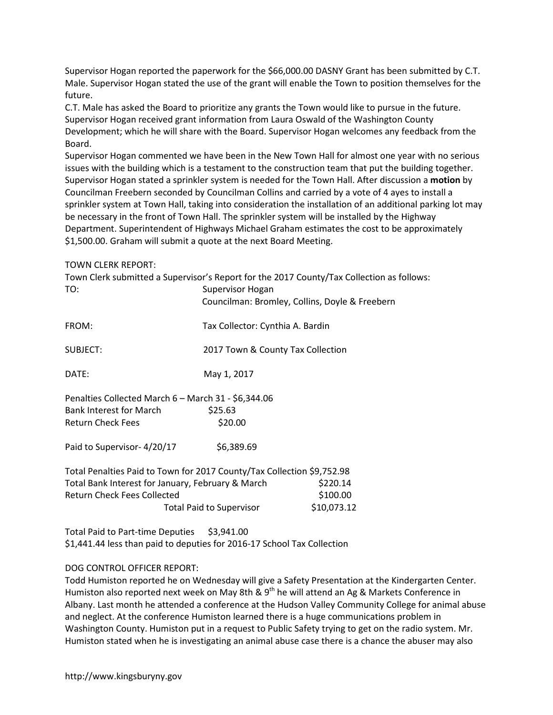Supervisor Hogan reported the paperwork for the \$66,000.00 DASNY Grant has been submitted by C.T. Male. Supervisor Hogan stated the use of the grant will enable the Town to position themselves for the future.

C.T. Male has asked the Board to prioritize any grants the Town would like to pursue in the future. Supervisor Hogan received grant information from Laura Oswald of the Washington County Development; which he will share with the Board. Supervisor Hogan welcomes any feedback from the Board.

Supervisor Hogan commented we have been in the New Town Hall for almost one year with no serious issues with the building which is a testament to the construction team that put the building together. Supervisor Hogan stated a sprinkler system is needed for the Town Hall. After discussion a **motion** by Councilman Freebern seconded by Councilman Collins and carried by a vote of 4 ayes to install a sprinkler system at Town Hall, taking into consideration the installation of an additional parking lot may be necessary in the front of Town Hall. The sprinkler system will be installed by the Highway Department. Superintendent of Highways Michael Graham estimates the cost to be approximately \$1,500.00. Graham will submit a quote at the next Board Meeting.

#### TOWN CLERK REPORT:

| TO:                                                                    | Supervisor Hogan                  | Town Clerk submitted a Supervisor's Report for the 2017 County/Tax Collection as follows: |
|------------------------------------------------------------------------|-----------------------------------|-------------------------------------------------------------------------------------------|
|                                                                        |                                   | Councilman: Bromley, Collins, Doyle & Freebern                                            |
| FROM:                                                                  | Tax Collector: Cynthia A. Bardin  |                                                                                           |
| SUBJECT:                                                               | 2017 Town & County Tax Collection |                                                                                           |
| DATE:                                                                  | May 1, 2017                       |                                                                                           |
| Penalties Collected March 6 - March 31 - \$6,344.06                    |                                   |                                                                                           |
| <b>Bank Interest for March</b>                                         | \$25.63                           |                                                                                           |
| <b>Return Check Fees</b>                                               | \$20.00                           |                                                                                           |
| Paid to Supervisor-4/20/17                                             | \$6,389.69                        |                                                                                           |
| Total Penalties Paid to Town for 2017 County/Tax Collection \$9,752.98 |                                   |                                                                                           |
| Total Bank Interest for January, February & March                      |                                   | \$220.14                                                                                  |
| <b>Return Check Fees Collected</b>                                     |                                   | \$100.00                                                                                  |
|                                                                        | <b>Total Paid to Supervisor</b>   | \$10,073.12                                                                               |

Total Paid to Part-time Deputies \$3,941.00 \$1,441.44 less than paid to deputies for 2016-17 School Tax Collection

# DOG CONTROL OFFICER REPORT:

Todd Humiston reported he on Wednesday will give a Safety Presentation at the Kindergarten Center. Humiston also reported next week on May 8th & 9<sup>th</sup> he will attend an Ag & Markets Conference in Albany. Last month he attended a conference at the Hudson Valley Community College for animal abuse and neglect. At the conference Humiston learned there is a huge communications problem in Washington County. Humiston put in a request to Public Safety trying to get on the radio system. Mr. Humiston stated when he is investigating an animal abuse case there is a chance the abuser may also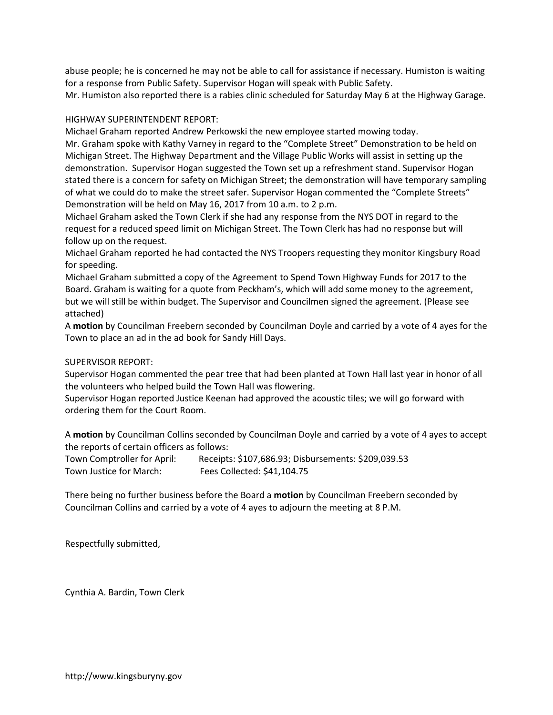abuse people; he is concerned he may not be able to call for assistance if necessary. Humiston is waiting for a response from Public Safety. Supervisor Hogan will speak with Public Safety.

Mr. Humiston also reported there is a rabies clinic scheduled for Saturday May 6 at the Highway Garage.

## HIGHWAY SUPERINTENDENT REPORT:

Michael Graham reported Andrew Perkowski the new employee started mowing today.

Mr. Graham spoke with Kathy Varney in regard to the "Complete Street" Demonstration to be held on Michigan Street. The Highway Department and the Village Public Works will assist in setting up the demonstration. Supervisor Hogan suggested the Town set up a refreshment stand. Supervisor Hogan stated there is a concern for safety on Michigan Street; the demonstration will have temporary sampling of what we could do to make the street safer. Supervisor Hogan commented the "Complete Streets" Demonstration will be held on May 16, 2017 from 10 a.m. to 2 p.m.

Michael Graham asked the Town Clerk if she had any response from the NYS DOT in regard to the request for a reduced speed limit on Michigan Street. The Town Clerk has had no response but will follow up on the request.

Michael Graham reported he had contacted the NYS Troopers requesting they monitor Kingsbury Road for speeding.

Michael Graham submitted a copy of the Agreement to Spend Town Highway Funds for 2017 to the Board. Graham is waiting for a quote from Peckham's, which will add some money to the agreement, but we will still be within budget. The Supervisor and Councilmen signed the agreement. (Please see attached)

A **motion** by Councilman Freebern seconded by Councilman Doyle and carried by a vote of 4 ayes for the Town to place an ad in the ad book for Sandy Hill Days.

## SUPERVISOR REPORT:

Supervisor Hogan commented the pear tree that had been planted at Town Hall last year in honor of all the volunteers who helped build the Town Hall was flowering.

Supervisor Hogan reported Justice Keenan had approved the acoustic tiles; we will go forward with ordering them for the Court Room.

A **motion** by Councilman Collins seconded by Councilman Doyle and carried by a vote of 4 ayes to accept the reports of certain officers as follows:

Town Comptroller for April: Receipts: \$107,686.93; Disbursements: \$209,039.53 Town Justice for March: Fees Collected: \$41,104.75

There being no further business before the Board a **motion** by Councilman Freebern seconded by Councilman Collins and carried by a vote of 4 ayes to adjourn the meeting at 8 P.M.

Respectfully submitted,

Cynthia A. Bardin, Town Clerk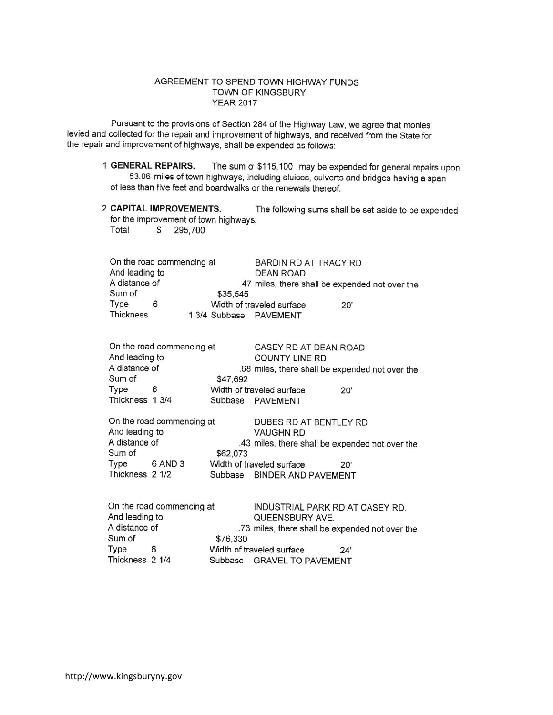#### AGREEMENT TO SPEND TOWN HIGHWAY FUNDS TOWN OF KINGSBURY **YEAR 2017**

Pursuant to the provisions of Section 284 of the Highway Law, we agree that monies levied and collected for the repair and improvement of highways, and received from the State for the repair and improvement of highways, shall be expended as follows:

- 1 GENERAL REPAIRS. The sum o \$115,100 may be expended for general repairs upon 53.06 miles of town highways, including sluices, culverts and bridges having a span of less than five feet and boardwalks or the renewals thereof.
- 2 CAPITAL IMPROVEMENTS. The following sums shall be set aside to be expended for the improvement of town highways; Total \$ 295,700

On the road commencing at BARDIN RD AT TRACY RD And leading to **DEAN ROAD** A distance of .47 miles, there shall be expended not over the Sum of \$35,545 Type 6 Width of traveled surface  $20'$ Thickness 13/4 Subbase PAVEMENT

|                 | On the road commencing at | CASEY RD AT DEAN ROAD                           |
|-----------------|---------------------------|-------------------------------------------------|
| And leading to  |                           | COUNTY LINE RD                                  |
| A distance of   |                           | .68 miles, there shall be expended not over the |
| Sum of          |                           | \$47,692                                        |
| Type            | 6                         | Width of traveled surface<br>20'                |
| Thickness 1 3/4 |                           | Subbase PAVEMENT                                |

|                 | On the road commencing at | DUBES RD AT BENTLEY RD                          |
|-----------------|---------------------------|-------------------------------------------------|
| And leading to  |                           | <b>VAUGHN RD</b>                                |
| A distance of   |                           | .43 miles, there shall be expended not over the |
| Sum of          |                           | \$62,073                                        |
| Type            | 6 AND 3                   | Width of traveled surface<br>20'                |
| Thickness 2 1/2 |                           | Subbase BINDER AND PAVEMENT                     |

|                 | On the road commencing at | INDUSTRIAL PARK RD AT CASEY RD.                 |
|-----------------|---------------------------|-------------------------------------------------|
| And leading to  |                           | QUEENSBURY AVE.                                 |
| A distance of   |                           | .73 miles, there shall be expended not over the |
| Sum of          |                           | \$76,330                                        |
| Type            | 6                         | Width of traveled surface<br>24'                |
| Thickness 2 1/4 |                           | Subbase GRAVEL TO PAVEMENT                      |